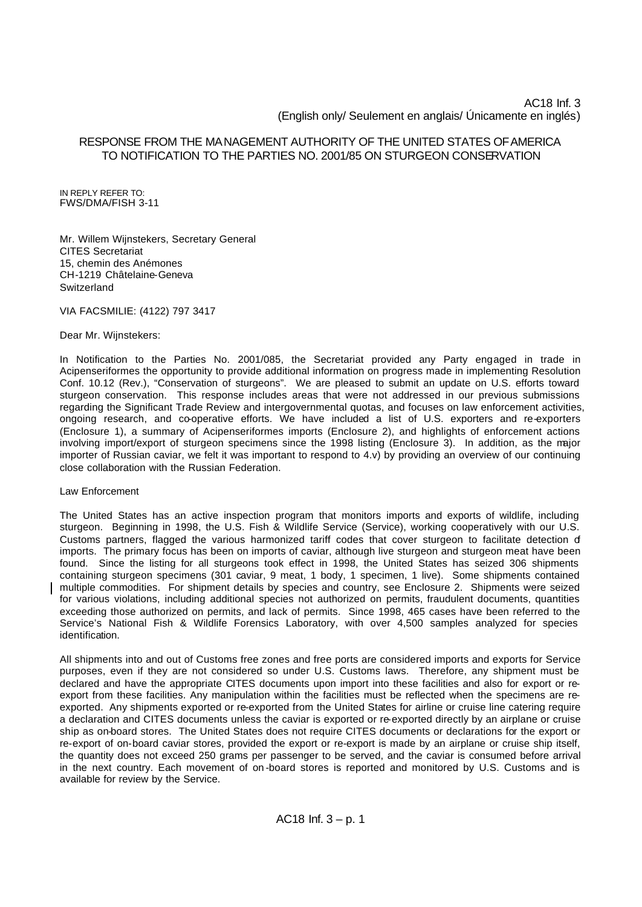# AC18 Inf. 3 (English only/ Seulement en anglais/ Únicamente en inglés)

# RESPONSE FROM THE MANAGEMENT AUTHORITY OF THE UNITED STATES OF AMERICA TO NOTIFICATION TO THE PARTIES NO. 2001/85 ON STURGEON CONSERVATION

IN REPLY REFER TO: FWS/DMA/FISH 3-11

Mr. Willem Wijnstekers, Secretary General CITES Secretariat 15, chemin des Anémones CH-1219 Châtelaine-Geneva **Switzerland** 

VIA FACSMILIE: (4122) 797 3417

Dear Mr. Wijnstekers:

In Notification to the Parties No. 2001/085, the Secretariat provided any Party engaged in trade in Acipenseriformes the opportunity to provide additional information on progress made in implementing Resolution Conf. 10.12 (Rev.), "Conservation of sturgeons". We are pleased to submit an update on U.S. efforts toward sturgeon conservation. This response includes areas that were not addressed in our previous submissions regarding the Significant Trade Review and intergovernmental quotas, and focuses on law enforcement activities, ongoing research, and co-operative efforts. We have included a list of U.S. exporters and re-exporters (Enclosure 1), a summary of Acipenseriformes imports (Enclosure 2), and highlights of enforcement actions involving import/export of sturgeon specimens since the 1998 listing (Enclosure 3). In addition, as the major importer of Russian caviar, we felt it was important to respond to 4.v) by providing an overview of our continuing close collaboration with the Russian Federation.

Law Enforcement

The United States has an active inspection program that monitors imports and exports of wildlife, including sturgeon. Beginning in 1998, the U.S. Fish & Wildlife Service (Service), working cooperatively with our U.S. Customs partners, flagged the various harmonized tariff codes that cover sturgeon to facilitate detection of imports. The primary focus has been on imports of caviar, although live sturgeon and sturgeon meat have been found. Since the listing for all sturgeons took effect in 1998, the United States has seized 306 shipments containing sturgeon specimens (301 caviar, 9 meat, 1 body, 1 specimen, 1 live). Some shipments contained multiple commodities. For shipment details by species and country, see Enclosure 2. Shipments were seized for various violations, including additional species not authorized on permits, fraudulent documents, quantities exceeding those authorized on permits, and lack of permits. Since 1998, 465 cases have been referred to the Service's National Fish & Wildlife Forensics Laboratory, with over 4,500 samples analyzed for species identification.

All shipments into and out of Customs free zones and free ports are considered imports and exports for Service purposes, even if they are not considered so under U.S. Customs laws. Therefore, any shipment must be declared and have the appropriate CITES documents upon import into these facilities and also for export or reexport from these facilities. Any manipulation within the facilities must be reflected when the specimens are reexported. Any shipments exported or re-exported from the United States for airline or cruise line catering require a declaration and CITES documents unless the caviar is exported or re-exported directly by an airplane or cruise ship as on-board stores. The United States does not require CITES documents or declarations for the export or re-export of on-board caviar stores, provided the export or re-export is made by an airplane or cruise ship itself, the quantity does not exceed 250 grams per passenger to be served, and the caviar is consumed before arrival in the next country. Each movement of on -board stores is reported and monitored by U.S. Customs and is available for review by the Service.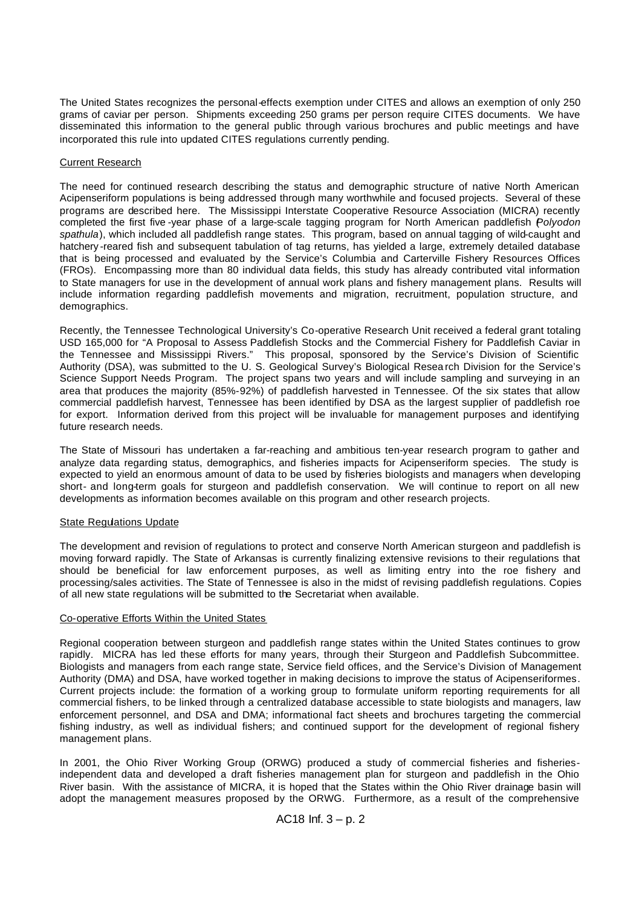The United States recognizes the personal-effects exemption under CITES and allows an exemption of only 250 grams of caviar per person. Shipments exceeding 250 grams per person require CITES documents. We have disseminated this information to the general public through various brochures and public meetings and have incorporated this rule into updated CITES regulations currently pending.

# Current Research

The need for continued research describing the status and demographic structure of native North American Acipenseriform populations is being addressed through many worthwhile and focused projects. Several of these programs are described here. The Mississippi Interstate Cooperative Resource Association (MICRA) recently completed the first five -year phase of a large-scale tagging program for North American paddlefish (*Polyodon spathula*), which included all paddlefish range states. This program, based on annual tagging of wild-caught and hatchery -reared fish and subsequent tabulation of tag returns, has yielded a large, extremely detailed database that is being processed and evaluated by the Service's Columbia and Carterville Fishery Resources Offices (FROs). Encompassing more than 80 individual data fields, this study has already contributed vital information to State managers for use in the development of annual work plans and fishery management plans. Results will include information regarding paddlefish movements and migration, recruitment, population structure, and demographics.

Recently, the Tennessee Technological University's Co-operative Research Unit received a federal grant totaling USD 165,000 for "A Proposal to Assess Paddlefish Stocks and the Commercial Fishery for Paddlefish Caviar in the Tennessee and Mississippi Rivers." This proposal, sponsored by the Service's Division of Scientific Authority (DSA), was submitted to the U. S. Geological Survey's Biological Resea rch Division for the Service's Science Support Needs Program. The project spans two years and will include sampling and surveying in an area that produces the majority (85%-92%) of paddlefish harvested in Tennessee. Of the six states that allow commercial paddlefish harvest, Tennessee has been identified by DSA as the largest supplier of paddlefish roe for export. Information derived from this project will be invaluable for management purposes and identifying future research needs.

The State of Missouri has undertaken a far-reaching and ambitious ten-year research program to gather and analyze data regarding status, demographics, and fisheries impacts for Acipenseriform species. The study is expected to yield an enormous amount of data to be used by fisheries biologists and managers when developing short- and long-term goals for sturgeon and paddlefish conservation. We will continue to report on all new developments as information becomes available on this program and other research projects.

### State Regulations Update

The development and revision of regulations to protect and conserve North American sturgeon and paddlefish is moving forward rapidly. The State of Arkansas is currently finalizing extensive revisions to their regulations that should be beneficial for law enforcement purposes, as well as limiting entry into the roe fishery and processing/sales activities. The State of Tennessee is also in the midst of revising paddlefish regulations. Copies of all new state regulations will be submitted to the Secretariat when available.

# Co-operative Efforts Within the United States

Regional cooperation between sturgeon and paddlefish range states within the United States continues to grow rapidly. MICRA has led these efforts for many years, through their Sturgeon and Paddlefish Subcommittee. Biologists and managers from each range state, Service field offices, and the Service's Division of Management Authority (DMA) and DSA, have worked together in making decisions to improve the status of Acipenseriformes. Current projects include: the formation of a working group to formulate uniform reporting requirements for all commercial fishers, to be linked through a centralized database accessible to state biologists and managers, law enforcement personnel, and DSA and DMA; informational fact sheets and brochures targeting the commercial fishing industry, as well as individual fishers; and continued support for the development of regional fishery management plans.

In 2001, the Ohio River Working Group (ORWG) produced a study of commercial fisheries and fisheriesindependent data and developed a draft fisheries management plan for sturgeon and paddlefish in the Ohio River basin. With the assistance of MICRA, it is hoped that the States within the Ohio River drainage basin will adopt the management measures proposed by the ORWG. Furthermore, as a result of the comprehensive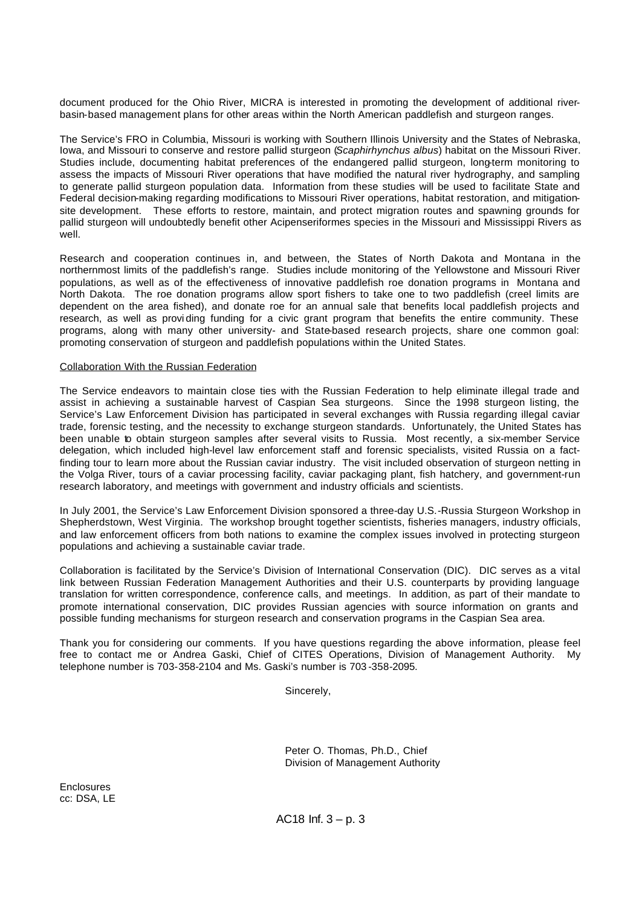document produced for the Ohio River, MICRA is interested in promoting the development of additional riverbasin-based management plans for other areas within the North American paddlefish and sturgeon ranges.

The Service's FRO in Columbia, Missouri is working with Southern Illinois University and the States of Nebraska, Iowa, and Missouri to conserve and restore pallid sturgeon (*Scaphirhynchus albus*) habitat on the Missouri River. Studies include, documenting habitat preferences of the endangered pallid sturgeon, long-term monitoring to assess the impacts of Missouri River operations that have modified the natural river hydrography, and sampling to generate pallid sturgeon population data. Information from these studies will be used to facilitate State and Federal decision-making regarding modifications to Missouri River operations, habitat restoration, and mitigationsite development. These efforts to restore, maintain, and protect migration routes and spawning grounds for pallid sturgeon will undoubtedly benefit other Acipenseriformes species in the Missouri and Mississippi Rivers as well.

Research and cooperation continues in, and between, the States of North Dakota and Montana in the northernmost limits of the paddlefish's range. Studies include monitoring of the Yellowstone and Missouri River populations, as well as of the effectiveness of innovative paddlefish roe donation programs in Montana and North Dakota. The roe donation programs allow sport fishers to take one to two paddlefish (creel limits are dependent on the area fished), and donate roe for an annual sale that benefits local paddlefish projects and research, as well as providing funding for a civic grant program that benefits the entire community. These programs, along with many other university- and State-based research projects, share one common goal: promoting conservation of sturgeon and paddlefish populations within the United States.

#### Collaboration With the Russian Federation

The Service endeavors to maintain close ties with the Russian Federation to help eliminate illegal trade and assist in achieving a sustainable harvest of Caspian Sea sturgeons. Since the 1998 sturgeon listing, the Service's Law Enforcement Division has participated in several exchanges with Russia regarding illegal caviar trade, forensic testing, and the necessity to exchange sturgeon standards. Unfortunately, the United States has been unable to obtain sturgeon samples after several visits to Russia. Most recently, a six-member Service delegation, which included high-level law enforcement staff and forensic specialists, visited Russia on a factfinding tour to learn more about the Russian caviar industry. The visit included observation of sturgeon netting in the Volga River, tours of a caviar processing facility, caviar packaging plant, fish hatchery, and government-run research laboratory, and meetings with government and industry officials and scientists.

In July 2001, the Service's Law Enforcement Division sponsored a three-day U.S.-Russia Sturgeon Workshop in Shepherdstown, West Virginia. The workshop brought together scientists, fisheries managers, industry officials, and law enforcement officers from both nations to examine the complex issues involved in protecting sturgeon populations and achieving a sustainable caviar trade.

Collaboration is facilitated by the Service's Division of International Conservation (DIC). DIC serves as a vital link between Russian Federation Management Authorities and their U.S. counterparts by providing language translation for written correspondence, conference calls, and meetings. In addition, as part of their mandate to promote international conservation, DIC provides Russian agencies with source information on grants and possible funding mechanisms for sturgeon research and conservation programs in the Caspian Sea area.

Thank you for considering our comments. If you have questions regarding the above information, please feel free to contact me or Andrea Gaski, Chief of CITES Operations, Division of Management Authority. My telephone number is 703-358-2104 and Ms. Gaski's number is 703 -358-2095.

Sincerely,

Peter O. Thomas, Ph.D., Chief Division of Management Authority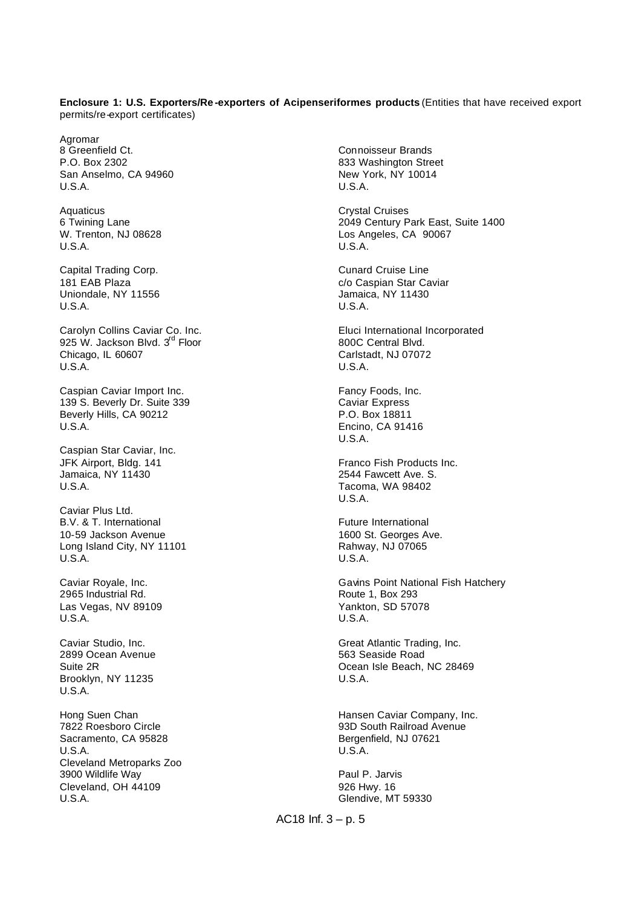#### **Enclosure 1: U.S. Exporters/Re -exporters of Acipenseriformes products** (Entities that have received export permits/re-export certificates)

Agromar 8 Greenfield Ct. P.O. Box 2302 San Anselmo, CA 94960 U.S.A.

Aquaticus 6 Twining Lane W. Trenton, NJ 08628 U.S.A.

Capital Trading Corp. 181 EAB Plaza Uniondale, NY 11556 U.S.A.

Carolyn Collins Caviar Co. Inc. 925 W. Jackson Blvd. 3<sup>rd</sup> Floor Chicago, IL 60607 U.S.A.

Caspian Caviar Import Inc. 139 S. Beverly Dr. Suite 339 Beverly Hills, CA 90212 U.S.A.

Caspian Star Caviar, Inc. JFK Airport, Bldg. 141 Jamaica, NY 11430 U.S.A.

Caviar Plus Ltd. B.V. & T. International 10-59 Jackson Avenue Long Island City, NY 11101 U.S.A.

Caviar Royale, Inc. 2965 Industrial Rd. Las Vegas, NV 89109 U.S.A.

Caviar Studio, Inc. 2899 Ocean Avenue Suite 2R Brooklyn, NY 11235 U.S.A.

Hong Suen Chan 7822 Roesboro Circle Sacramento, CA 95828 U.S.A. Cleveland Metroparks Zoo 3900 Wildlife Way Cleveland, OH 44109 U.S.A.

Connoisseur Brands 833 Washington Street New York, NY 10014 U.S.A.

Crystal Cruises 2049 Century Park East, Suite 1400 Los Angeles, CA 90067 U.S.A.

Cunard Cruise Line c/o Caspian Star Caviar Jamaica, NY 11430 U.S.A.

Eluci International Incorporated 800C Central Blvd. Carlstadt, NJ 07072 U.S.A.

Fancy Foods, Inc. Caviar Express P.O. Box 18811 Encino, CA 91416 U.S.A.

Franco Fish Products Inc. 2544 Fawcett Ave. S. Tacoma, WA 98402 U.S.A.

Future International 1600 St. Georges Ave. Rahway, NJ 07065 U.S.A.

Gavins Point National Fish Hatchery Route 1, Box 293 Yankton, SD 57078 U.S.A.

Great Atlantic Trading, Inc. 563 Seaside Road Ocean Isle Beach, NC 28469 U.S.A.

Hansen Caviar Company, Inc. 93D South Railroad Avenue Bergenfield, NJ 07621 U.S.A.

Paul P. Jarvis 926 Hwy. 16 Glendive, MT 59330

AC18 Inf.  $3 - p. 5$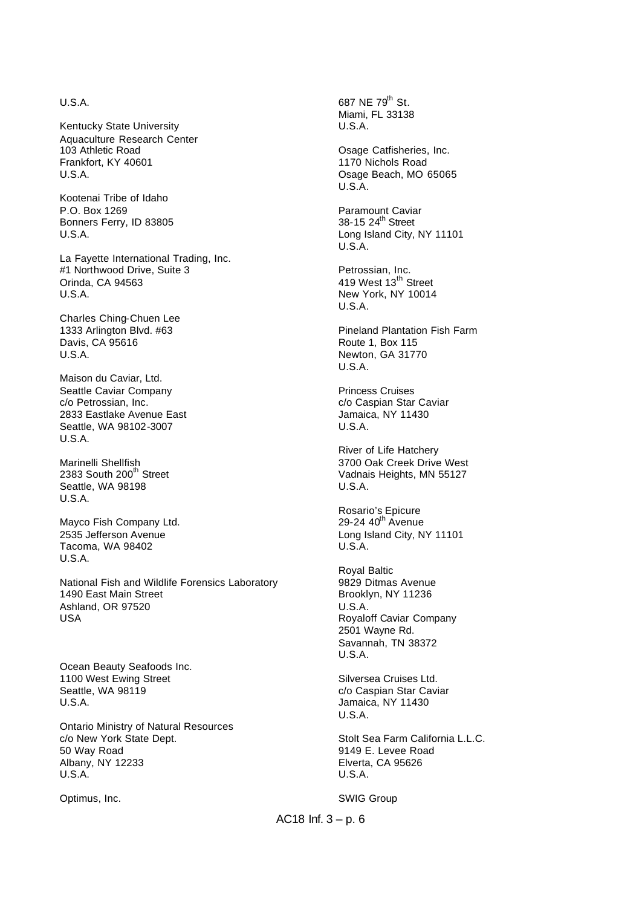# U.S.A.

Kentucky State University Aquaculture Research Center 103 Athletic Road Frankfort, KY 40601 U.S.A.

Kootenai Tribe of Idaho P.O. Box 1269 Bonners Ferry, ID 83805 U.S.A.

La Fayette International Trading, Inc. #1 Northwood Drive, Suite 3 Orinda, CA 94563 U.S.A.

Charles Ching-Chuen Lee 1333 Arlington Blvd. #63 Davis, CA 95616 U.S.A.

Maison du Caviar, Ltd. Seattle Caviar Company c/o Petrossian, Inc. 2833 Eastlake Avenue East Seattle, WA 98102-3007 U.S.A.

Marinelli Shellfish 2383 South  $200<sup>th</sup>$  Street Seattle, WA 98198 U.S.A.

Mayco Fish Company Ltd. 2535 Jefferson Avenue Tacoma, WA 98402 U.S.A.

National Fish and Wildlife Forensics Laboratory 1490 East Main Street Ashland, OR 97520 USA

Ocean Beauty Seafoods Inc. 1100 West Ewing Street Seattle, WA 98119 U.S.A.

Ontario Ministry of Natural Resources c/o New York State Dept. 50 Way Road Albany, NY 12233 U.S.A.

Optimus, Inc.

687 NE 79<sup>th</sup> St. Miami, FL 33138 U.S.A.

Osage Catfisheries, Inc. 1170 Nichols Road Osage Beach, MO 65065 U.S.A.

Paramount Caviar 38-15 24<sup>th</sup> Street Long Island City, NY 11101 U.S.A.

Petrossian, Inc. 419 West 13<sup>th</sup> Street New York, NY 10014 U.S.A.

Pineland Plantation Fish Farm Route 1, Box 115 Newton, GA 31770 U.S.A.

Princess Cruises c/o Caspian Star Caviar Jamaica, NY 11430 U.S.A.

River of Life Hatchery 3700 Oak Creek Drive West Vadnais Heights, MN 55127 U.S.A.

Rosario's Epicure 29-24 40<sup>th</sup> Avenue Long Island City, NY 11101 U.S.A.

Royal Baltic 9829 Ditmas Avenue Brooklyn, NY 11236 U.S.A. Royaloff Caviar Company 2501 Wayne Rd. Savannah, TN 38372 U.S.A.

Silversea Cruises Ltd. c/o Caspian Star Caviar Jamaica, NY 11430 U.S.A.

Stolt Sea Farm California L.L.C. 9149 E. Levee Road Elverta, CA 95626 U.S.A.

SWIG Group

AC18 Inf.  $3 - p$ . 6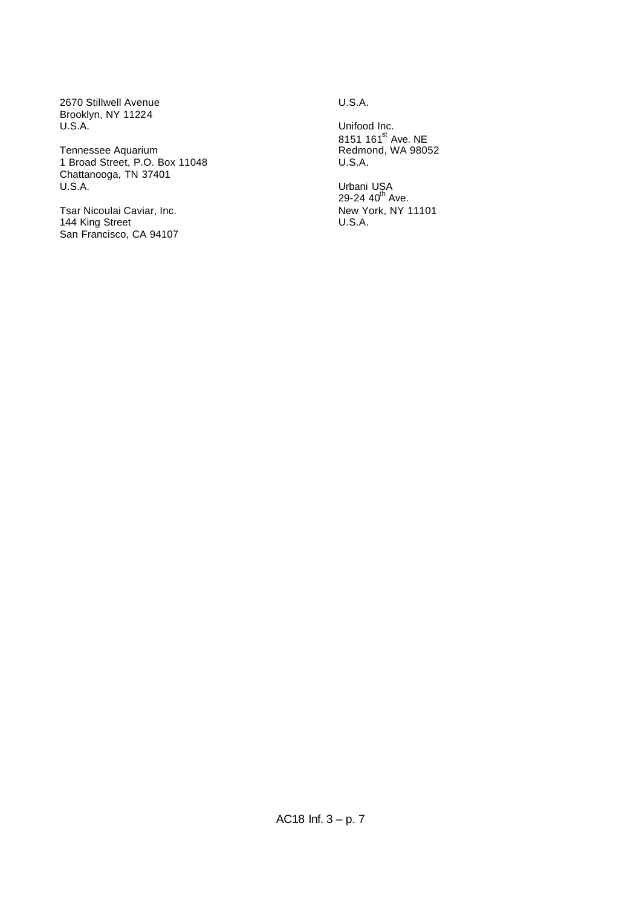2670 Stillwell Avenue Brooklyn, NY 11224 U.S.A.

Tennessee Aquarium 1 Broad Street, P.O. Box 11048 Chattanooga, TN 37401 U.S.A.

Tsar Nicoulai Caviar, Inc. 144 King Street San Francisco, CA 94107 U.S.A.

Unifood Inc. 8151 161<sup>st</sup> Ave. NE Redmond, WA 98052 U.S.A.

Urbani USA<br>29-24 40<sup>th</sup> Ave. New York, NY 11101 U.S.A.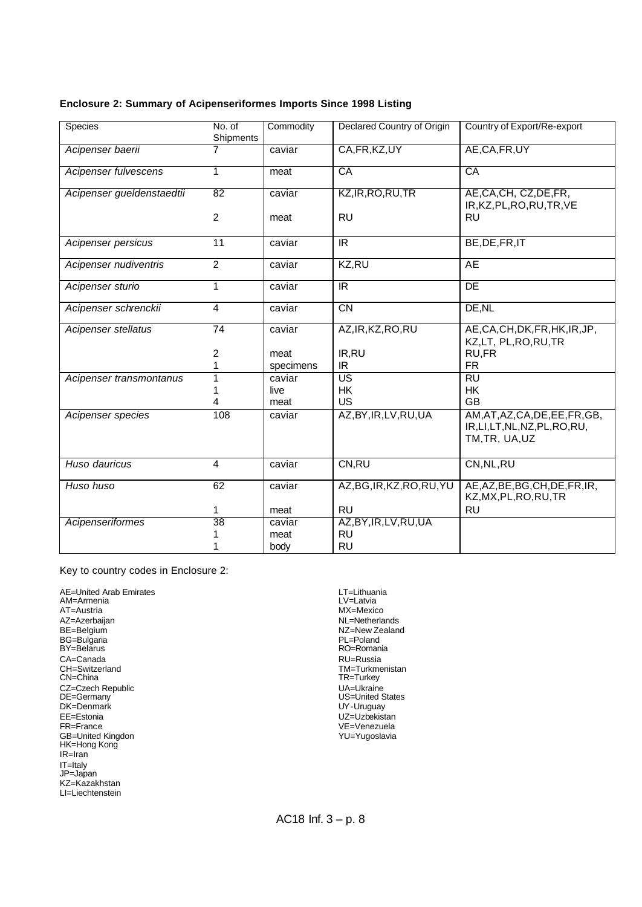# **Enclosure 2: Summary of Acipenseriformes Imports Since 1998 Listing**

| Species                   | No. of          | Commodity | Declared Country of Origin | Country of Export/Re-export                                                          |
|---------------------------|-----------------|-----------|----------------------------|--------------------------------------------------------------------------------------|
|                           | Shipments       |           |                            |                                                                                      |
| Acipenser baerii          |                 | caviar    | CA, FR, KZ, UY             | AE,CA,FR,UY                                                                          |
| Acipenser fulvescens      | 1               | meat      | CA                         | CA                                                                                   |
| Acipenser gueldenstaedtii | 82              | caviar    | KZ, IR, RO, RU, TR         | AE, CA, CH, CZ, DE, FR,<br>IR, KZ, PL, RO, RU, TR, VE                                |
|                           | $\overline{2}$  | meat      | <b>RU</b>                  | <b>RU</b>                                                                            |
| Acipenser persicus        | 11              | caviar    | IR.                        | BE, DE, FR, IT                                                                       |
| Acipenser nudiventris     | $\overline{2}$  | caviar    | KZ,RU                      | AE                                                                                   |
| Acipenser sturio          | 1               | caviar    | IR.                        | <b>DE</b>                                                                            |
| Acipenser schrenckii      | 4               | caviar    | $\overline{CN}$            | DE, NL                                                                               |
| Acipenser stellatus       | $\overline{74}$ | caviar    | AZ, IR, KZ, RO, RU         | AE, CA, CH, DK, FR, HK, IR, JP,<br>KZ,LT, PL,RO,RU,TR                                |
|                           | $\overline{c}$  | meat      | IR, RU                     | RU,FR                                                                                |
|                           | 1               | specimens | IR.                        | <b>FR</b>                                                                            |
| Acipenser transmontanus   | 1               | caviar    | $\overline{\mathsf{US}}$   | $\overline{RU}$                                                                      |
|                           |                 | live      | HK                         | HK                                                                                   |
|                           | 4               | meat      | <b>US</b>                  | <b>GB</b>                                                                            |
| Acipenser species         | 108             | caviar    | AZ, BY, IR, LV, RU, UA     | AM, AT, AZ, CA, DE, EE, FR, GB,<br>IR, LI, LT, NL, NZ, PL, RO, RU,<br>TM, TR, UA, UZ |
| Huso dauricus             | 4               | caviar    | CN, RU                     | CN, NL, RU                                                                           |
| Huso huso                 | 62              | caviar    | AZ, BG, IR, KZ, RO, RU, YU | AE, AZ, BE, BG, CH, DE, FR, IR,<br>KZ, MX, PL, RO, RU, TR                            |
|                           | 1.              | meat      | <b>RU</b>                  | <b>RU</b>                                                                            |
| Acipenseriformes          | 38              | caviar    | AZ, BY, IR, LV, RU, UA     |                                                                                      |
|                           |                 | meat      | <b>RU</b>                  |                                                                                      |
|                           | 1               | body      | <b>RU</b>                  |                                                                                      |

Key to country codes in Enclosure 2:

AE=United Arab Emirates AM=Armenia AT=Austria AZ=Azerbaijan BE=Belgium BG=Bulgaria BY=Belarus CA=Canada CH=Switzerland CN=China CZ=Czech Republic DE=Germany DK=Denmark EE=Estonia FR=France GB=United Kingdon HK=Hong Kong IR=Iran IT=Italy JP=Japan KZ=Kazakhstan LI=Liechtenstein

LT=Lithuania LV=Latvia MX=Mexico NL=Netherlands NZ=New Zealand PL=Poland RO=Romania RU=Russia TM=Turkmenistan TR=Turkey UA=Ukraine US=United States UY-Uruguay UZ=Uzbekistan VE=Venezuela YU=Yugoslavia

AC18 Inf. 3 – p. 8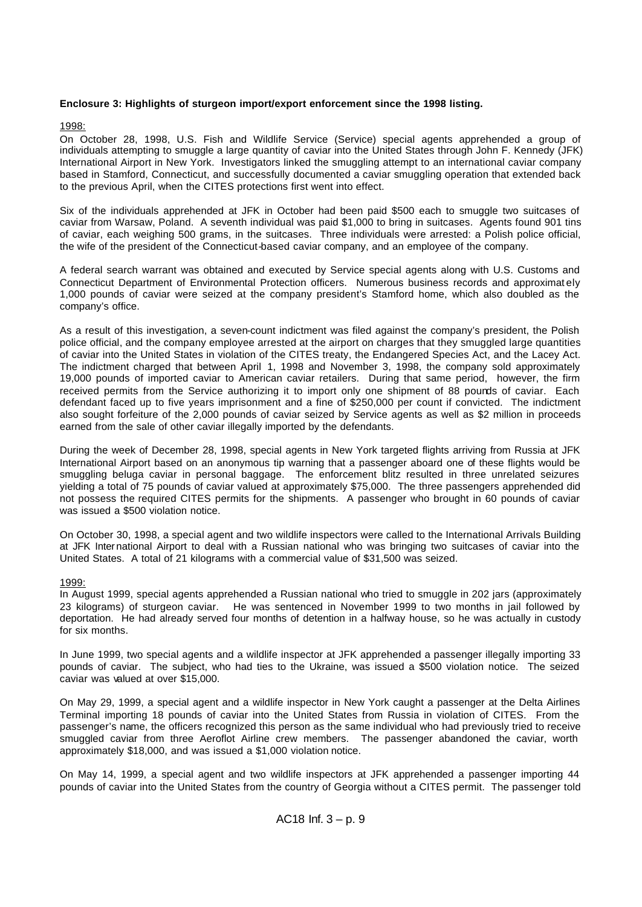# **Enclosure 3: Highlights of sturgeon import/export enforcement since the 1998 listing.**

# 1998:

On October 28, 1998, U.S. Fish and Wildlife Service (Service) special agents apprehended a group of individuals attempting to smuggle a large quantity of caviar into the United States through John F. Kennedy (JFK) International Airport in New York. Investigators linked the smuggling attempt to an international caviar company based in Stamford, Connecticut, and successfully documented a caviar smuggling operation that extended back to the previous April, when the CITES protections first went into effect.

Six of the individuals apprehended at JFK in October had been paid \$500 each to smuggle two suitcases of caviar from Warsaw, Poland. A seventh individual was paid \$1,000 to bring in suitcases. Agents found 901 tins of caviar, each weighing 500 grams, in the suitcases. Three individuals were arrested: a Polish police official, the wife of the president of the Connecticut-based caviar company, and an employee of the company.

A federal search warrant was obtained and executed by Service special agents along with U.S. Customs and Connecticut Department of Environmental Protection officers. Numerous business records and approximat ely 1,000 pounds of caviar were seized at the company president's Stamford home, which also doubled as the company's office.

As a result of this investigation, a seven-count indictment was filed against the company's president, the Polish police official, and the company employee arrested at the airport on charges that they smuggled large quantities of caviar into the United States in violation of the CITES treaty, the Endangered Species Act, and the Lacey Act. The indictment charged that between April 1, 1998 and November 3, 1998, the company sold approximately 19,000 pounds of imported caviar to American caviar retailers. During that same period, however, the firm received permits from the Service authorizing it to import only one shipment of 88 pounds of caviar. Each defendant faced up to five years imprisonment and a fine of \$250,000 per count if convicted. The indictment also sought forfeiture of the 2,000 pounds of caviar seized by Service agents as well as \$2 million in proceeds earned from the sale of other caviar illegally imported by the defendants.

During the week of December 28, 1998, special agents in New York targeted flights arriving from Russia at JFK International Airport based on an anonymous tip warning that a passenger aboard one of these flights would be smuggling beluga caviar in personal baggage. The enforcement blitz resulted in three unrelated seizures yielding a total of 75 pounds of caviar valued at approximately \$75,000. The three passengers apprehended did not possess the required CITES permits for the shipments. A passenger who brought in 60 pounds of caviar was issued a \$500 violation notice.

On October 30, 1998, a special agent and two wildlife inspectors were called to the International Arrivals Building at JFK Inter national Airport to deal with a Russian national who was bringing two suitcases of caviar into the United States. A total of 21 kilograms with a commercial value of \$31,500 was seized.

### 1999:

In August 1999, special agents apprehended a Russian national who tried to smuggle in 202 jars (approximately 23 kilograms) of sturgeon caviar. He was sentenced in November 1999 to two months in jail followed by deportation. He had already served four months of detention in a halfway house, so he was actually in custody for six months.

In June 1999, two special agents and a wildlife inspector at JFK apprehended a passenger illegally importing 33 pounds of caviar. The subject, who had ties to the Ukraine, was issued a \$500 violation notice. The seized caviar was valued at over \$15,000.

On May 29, 1999, a special agent and a wildlife inspector in New York caught a passenger at the Delta Airlines Terminal importing 18 pounds of caviar into the United States from Russia in violation of CITES. From the passenger's name, the officers recognized this person as the same individual who had previously tried to receive smuggled caviar from three Aeroflot Airline crew members. The passenger abandoned the caviar, worth approximately \$18,000, and was issued a \$1,000 violation notice.

On May 14, 1999, a special agent and two wildlife inspectors at JFK apprehended a passenger importing 44 pounds of caviar into the United States from the country of Georgia without a CITES permit. The passenger told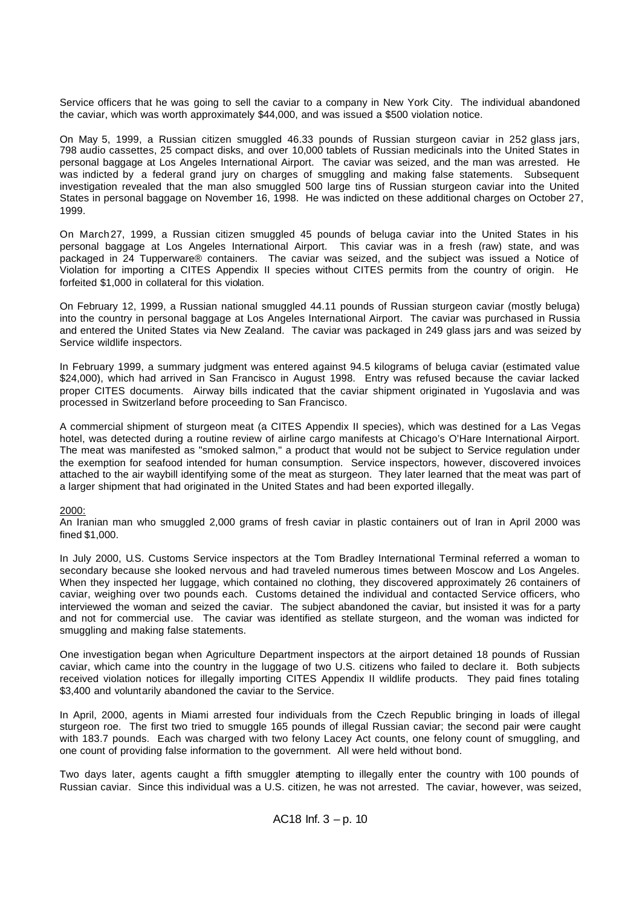Service officers that he was going to sell the caviar to a company in New York City. The individual abandoned the caviar, which was worth approximately \$44,000, and was issued a \$500 violation notice.

On May 5, 1999, a Russian citizen smuggled 46.33 pounds of Russian sturgeon caviar in 252 glass jars, 798 audio cassettes, 25 compact disks, and over 10,000 tablets of Russian medicinals into the United States in personal baggage at Los Angeles International Airport. The caviar was seized, and the man was arrested. He was indicted by a federal grand jury on charges of smuggling and making false statements. Subsequent investigation revealed that the man also smuggled 500 large tins of Russian sturgeon caviar into the United States in personal baggage on November 16, 1998. He was indicted on these additional charges on October 27, 1999.

On March27, 1999, a Russian citizen smuggled 45 pounds of beluga caviar into the United States in his personal baggage at Los Angeles International Airport. This caviar was in a fresh (raw) state, and was packaged in 24 Tupperware® containers. The caviar was seized, and the subject was issued a Notice of Violation for importing a CITES Appendix II species without CITES permits from the country of origin. He forfeited \$1,000 in collateral for this violation.

On February 12, 1999, a Russian national smuggled 44.11 pounds of Russian sturgeon caviar (mostly beluga) into the country in personal baggage at Los Angeles International Airport. The caviar was purchased in Russia and entered the United States via New Zealand. The caviar was packaged in 249 glass jars and was seized by Service wildlife inspectors.

In February 1999, a summary judgment was entered against 94.5 kilograms of beluga caviar (estimated value \$24,000), which had arrived in San Francisco in August 1998. Entry was refused because the caviar lacked proper CITES documents. Airway bills indicated that the caviar shipment originated in Yugoslavia and was processed in Switzerland before proceeding to San Francisco.

A commercial shipment of sturgeon meat (a CITES Appendix II species), which was destined for a Las Vegas hotel, was detected during a routine review of airline cargo manifests at Chicago's O'Hare International Airport. The meat was manifested as "smoked salmon," a product that would not be subject to Service regulation under the exemption for seafood intended for human consumption. Service inspectors, however, discovered invoices attached to the air waybill identifying some of the meat as sturgeon. They later learned that the meat was part of a larger shipment that had originated in the United States and had been exported illegally.

### 2000:

An Iranian man who smuggled 2,000 grams of fresh caviar in plastic containers out of Iran in April 2000 was fined \$1,000.

In July 2000, U.S. Customs Service inspectors at the Tom Bradley International Terminal referred a woman to secondary because she looked nervous and had traveled numerous times between Moscow and Los Angeles. When they inspected her luggage, which contained no clothing, they discovered approximately 26 containers of caviar, weighing over two pounds each. Customs detained the individual and contacted Service officers, who interviewed the woman and seized the caviar. The subject abandoned the caviar, but insisted it was for a party and not for commercial use. The caviar was identified as stellate sturgeon, and the woman was indicted for smuggling and making false statements.

One investigation began when Agriculture Department inspectors at the airport detained 18 pounds of Russian caviar, which came into the country in the luggage of two U.S. citizens who failed to declare it. Both subjects received violation notices for illegally importing CITES Appendix II wildlife products. They paid fines totaling \$3,400 and voluntarily abandoned the caviar to the Service.

In April, 2000, agents in Miami arrested four individuals from the Czech Republic bringing in loads of illegal sturgeon roe. The first two tried to smuggle 165 pounds of illegal Russian caviar; the second pair were caught with 183.7 pounds. Each was charged with two felony Lacey Act counts, one felony count of smuggling, and one count of providing false information to the government. All were held without bond.

Two days later, agents caught a fifth smuggler attempting to illegally enter the country with 100 pounds of Russian caviar. Since this individual was a U.S. citizen, he was not arrested. The caviar, however, was seized,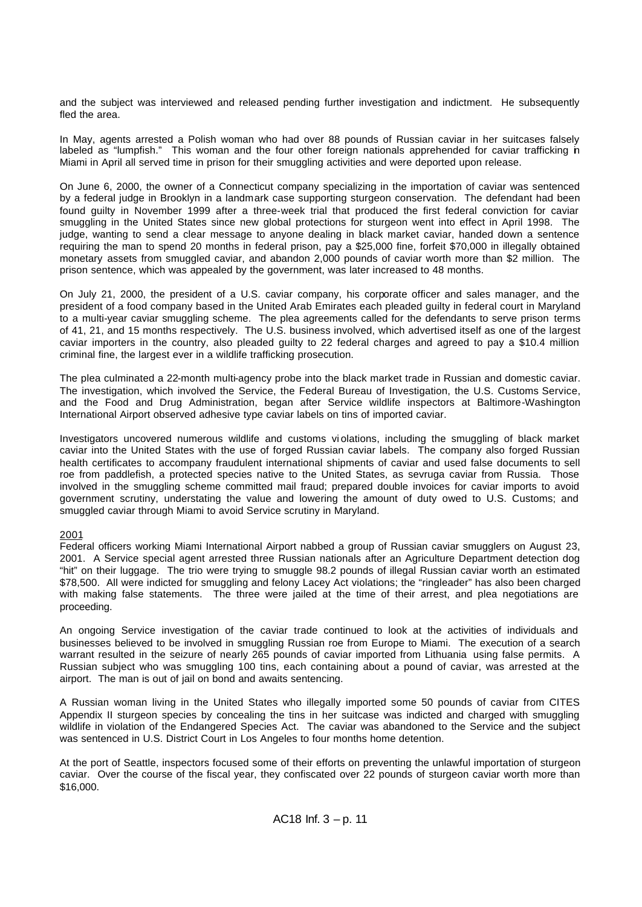and the subject was interviewed and released pending further investigation and indictment. He subsequently fled the area.

In May, agents arrested a Polish woman who had over 88 pounds of Russian caviar in her suitcases falsely labeled as "lumpfish." This woman and the four other foreign nationals apprehended for caviar trafficking in Miami in April all served time in prison for their smuggling activities and were deported upon release.

On June 6, 2000, the owner of a Connecticut company specializing in the importation of caviar was sentenced by a federal judge in Brooklyn in a landmark case supporting sturgeon conservation. The defendant had been found guilty in November 1999 after a three-week trial that produced the first federal conviction for caviar smuggling in the United States since new global protections for sturgeon went into effect in April 1998. The judge, wanting to send a clear message to anyone dealing in black market caviar, handed down a sentence requiring the man to spend 20 months in federal prison, pay a \$25,000 fine, forfeit \$70,000 in illegally obtained monetary assets from smuggled caviar, and abandon 2,000 pounds of caviar worth more than \$2 million. The prison sentence, which was appealed by the government, was later increased to 48 months.

On July 21, 2000, the president of a U.S. caviar company, his corporate officer and sales manager, and the president of a food company based in the United Arab Emirates each pleaded guilty in federal court in Maryland to a multi-year caviar smuggling scheme. The plea agreements called for the defendants to serve prison terms of 41, 21, and 15 months respectively. The U.S. business involved, which advertised itself as one of the largest caviar importers in the country, also pleaded guilty to 22 federal charges and agreed to pay a \$10.4 million criminal fine, the largest ever in a wildlife trafficking prosecution.

The plea culminated a 22-month multi-agency probe into the black market trade in Russian and domestic caviar. The investigation, which involved the Service, the Federal Bureau of Investigation, the U.S. Customs Service, and the Food and Drug Administration, began after Service wildlife inspectors at Baltimore-Washington International Airport observed adhesive type caviar labels on tins of imported caviar.

Investigators uncovered numerous wildlife and customs vi olations, including the smuggling of black market caviar into the United States with the use of forged Russian caviar labels. The company also forged Russian health certificates to accompany fraudulent international shipments of caviar and used false documents to sell roe from paddlefish, a protected species native to the United States, as sevruga caviar from Russia. Those involved in the smuggling scheme committed mail fraud; prepared double invoices for caviar imports to avoid government scrutiny, understating the value and lowering the amount of duty owed to U.S. Customs; and smuggled caviar through Miami to avoid Service scrutiny in Maryland.

### 2001

Federal officers working Miami International Airport nabbed a group of Russian caviar smugglers on August 23, 2001. A Service special agent arrested three Russian nationals after an Agriculture Department detection dog "hit" on their luggage. The trio were trying to smuggle 98.2 pounds of illegal Russian caviar worth an estimated \$78,500. All were indicted for smuggling and felony Lacey Act violations; the "ringleader" has also been charged with making false statements. The three were jailed at the time of their arrest, and plea negotiations are proceeding.

An ongoing Service investigation of the caviar trade continued to look at the activities of individuals and businesses believed to be involved in smuggling Russian roe from Europe to Miami. The execution of a search warrant resulted in the seizure of nearly 265 pounds of caviar imported from Lithuania using false permits. A Russian subject who was smuggling 100 tins, each containing about a pound of caviar, was arrested at the airport. The man is out of jail on bond and awaits sentencing.

A Russian woman living in the United States who illegally imported some 50 pounds of caviar from CITES Appendix II sturgeon species by concealing the tins in her suitcase was indicted and charged with smuggling wildlife in violation of the Endangered Species Act. The caviar was abandoned to the Service and the subject was sentenced in U.S. District Court in Los Angeles to four months home detention.

At the port of Seattle, inspectors focused some of their efforts on preventing the unlawful importation of sturgeon caviar. Over the course of the fiscal year, they confiscated over 22 pounds of sturgeon caviar worth more than \$16,000.